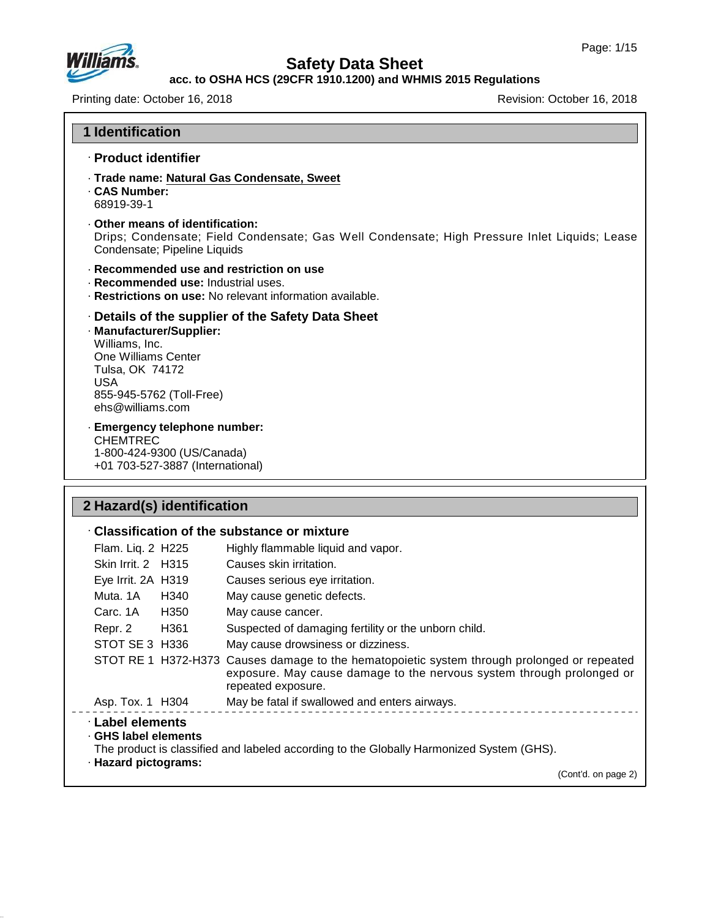

#### **acc. to OSHA HCS (29CFR 1910.1200) and WHMIS 2015 Regulations**

Printing date: October 16, 2018 **Printing date: October 16, 2018** Revision: October 16, 2018

| <b>1 Identification</b>                                                                                                                                                                        |                                                                                              |
|------------------------------------------------------------------------------------------------------------------------------------------------------------------------------------------------|----------------------------------------------------------------------------------------------|
| · Product identifier                                                                                                                                                                           |                                                                                              |
| · Trade name: Natural Gas Condensate, Sweet<br>. CAS Number:<br>68919-39-1                                                                                                                     |                                                                                              |
| Other means of identification:<br>Condensate; Pipeline Liquids                                                                                                                                 | Drips; Condensate; Field Condensate; Gas Well Condensate; High Pressure Inlet Liquids; Lease |
| · Recommended use and restriction on use<br>· Recommended use: Industrial uses.<br>· Restrictions on use: No relevant information available.                                                   |                                                                                              |
| Details of the supplier of the Safety Data Sheet<br>· Manufacturer/Supplier:<br>Williams, Inc.<br>One Williams Center<br>Tulsa, OK 74172<br>USA<br>855-945-5762 (Toll-Free)<br>ehs@willams.com |                                                                                              |
| · Emergency telephone number:<br><b>CHEMTREC</b><br>1-800-424-9300 (US/Canada)<br>+01 703-527-3887 (International)                                                                             |                                                                                              |

# **2 Hazard(s) identification**

47.0.13

|                                                                |      | $\cdot$ Classification of the substance or mixture                                                                                                                                         |
|----------------------------------------------------------------|------|--------------------------------------------------------------------------------------------------------------------------------------------------------------------------------------------|
| Flam. Liq. 2 H225                                              |      | Highly flammable liquid and vapor.                                                                                                                                                         |
| Skin Irrit. 2 H315                                             |      | Causes skin irritation.                                                                                                                                                                    |
| Eye Irrit. 2A H319                                             |      | Causes serious eye irritation.                                                                                                                                                             |
| Muta. 1A                                                       | H340 | May cause genetic defects.                                                                                                                                                                 |
| Carc. 1A                                                       | H350 | May cause cancer.                                                                                                                                                                          |
| Repr. 2                                                        | H361 | Suspected of damaging fertility or the unborn child.                                                                                                                                       |
| STOT SE 3 H336                                                 |      | May cause drowsiness or dizziness.                                                                                                                                                         |
|                                                                |      | STOT RE 1 H372-H373 Causes damage to the hematopoietic system through prolonged or repeated<br>exposure. May cause damage to the nervous system through prolonged or<br>repeated exposure. |
| Asp. Tox. 1 H304                                               |      | May be fatal if swallowed and enters airways.                                                                                                                                              |
| · Label elements<br>GHS label elements<br>· Hazard pictograms: |      | The product is classified and labeled according to the Globally Harmonized System (GHS).<br>(Cont'd. on page 2)                                                                            |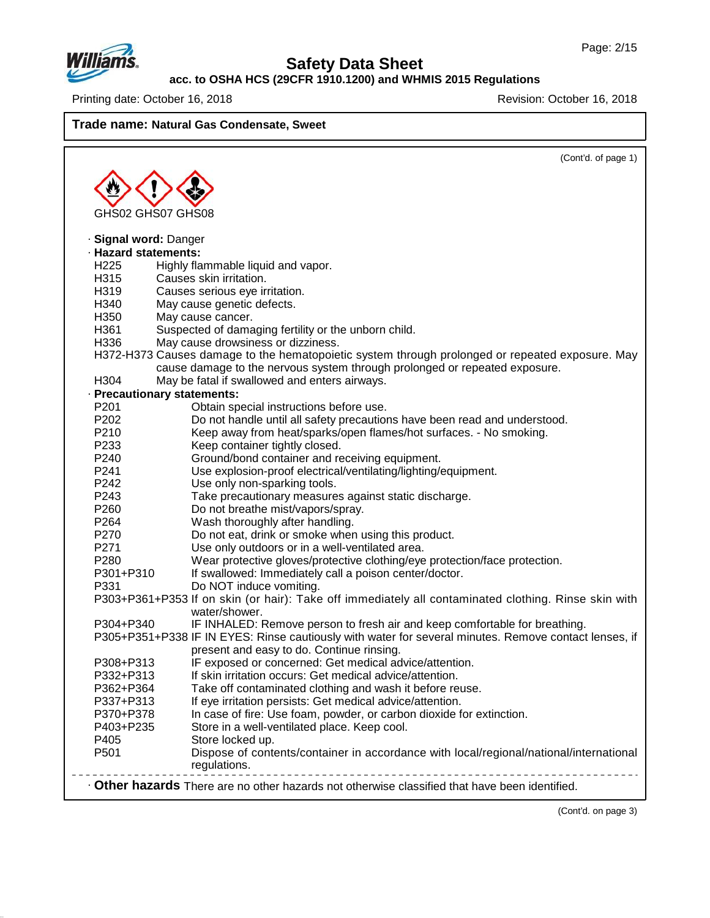

# **Safety Data Sheet**

**acc. to OSHA HCS (29CFR 1910.1200) and WHMIS 2015 Regulations**

Printing date: October 16, 2018 **Printing date: October 16, 2018** 

**Trade name: Natural Gas Condensate, Sweet**

|                            | (Cont'd. of page 1)                                                                                                   |
|----------------------------|-----------------------------------------------------------------------------------------------------------------------|
|                            |                                                                                                                       |
|                            |                                                                                                                       |
| GHS02 GHS07 GHS08          |                                                                                                                       |
| <b>Signal word: Danger</b> |                                                                                                                       |
| · Hazard statements:       |                                                                                                                       |
| H <sub>225</sub>           | Highly flammable liquid and vapor.                                                                                    |
| H315                       | Causes skin irritation.                                                                                               |
| H319                       | Causes serious eye irritation.                                                                                        |
| H340                       | May cause genetic defects.                                                                                            |
| H350                       | May cause cancer.                                                                                                     |
| H361                       | Suspected of damaging fertility or the unborn child.                                                                  |
| H336                       | May cause drowsiness or dizziness.                                                                                    |
|                            | H372-H373 Causes damage to the hematopoietic system through prolonged or repeated exposure. May                       |
|                            | cause damage to the nervous system through prolonged or repeated exposure.                                            |
| H304                       | May be fatal if swallowed and enters airways.                                                                         |
|                            | · Precautionary statements:                                                                                           |
| P <sub>201</sub>           | Obtain special instructions before use.                                                                               |
| P202                       | Do not handle until all safety precautions have been read and understood.                                             |
| P210                       | Keep away from heat/sparks/open flames/hot surfaces. - No smoking.                                                    |
| P233                       | Keep container tightly closed.                                                                                        |
| P <sub>240</sub>           | Ground/bond container and receiving equipment.                                                                        |
| P241                       | Use explosion-proof electrical/ventilating/lighting/equipment.                                                        |
| P242                       | Use only non-sparking tools.                                                                                          |
| P243                       | Take precautionary measures against static discharge.                                                                 |
| P260                       | Do not breathe mist/vapors/spray.                                                                                     |
| P <sub>264</sub>           | Wash thoroughly after handling.                                                                                       |
| P270                       | Do not eat, drink or smoke when using this product.                                                                   |
| P271                       | Use only outdoors or in a well-ventilated area.                                                                       |
| P280                       | Wear protective gloves/protective clothing/eye protection/face protection.                                            |
| P301+P310                  | If swallowed: Immediately call a poison center/doctor.                                                                |
| P331                       | Do NOT induce vomiting.                                                                                               |
|                            | P303+P361+P353 If on skin (or hair): Take off immediately all contaminated clothing. Rinse skin with<br>water/shower. |
| P304+P340                  | IF INHALED: Remove person to fresh air and keep comfortable for breathing.                                            |
|                            | P305+P351+P338 IF IN EYES: Rinse cautiously with water for several minutes. Remove contact lenses, if                 |
|                            | present and easy to do. Continue rinsing.                                                                             |
| P308+P313                  | IF exposed or concerned: Get medical advice/attention.                                                                |
| P332+P313                  | If skin irritation occurs: Get medical advice/attention.                                                              |
| P362+P364                  | Take off contaminated clothing and wash it before reuse.                                                              |
| P337+P313                  | If eye irritation persists: Get medical advice/attention.                                                             |
| P370+P378                  | In case of fire: Use foam, powder, or carbon dioxide for extinction.                                                  |
| P403+P235                  | Store in a well-ventilated place. Keep cool.                                                                          |
| P405                       | Store locked up.                                                                                                      |
| P501                       | Dispose of contents/container in accordance with local/regional/national/international<br>regulations.                |

(Cont'd. on page 3)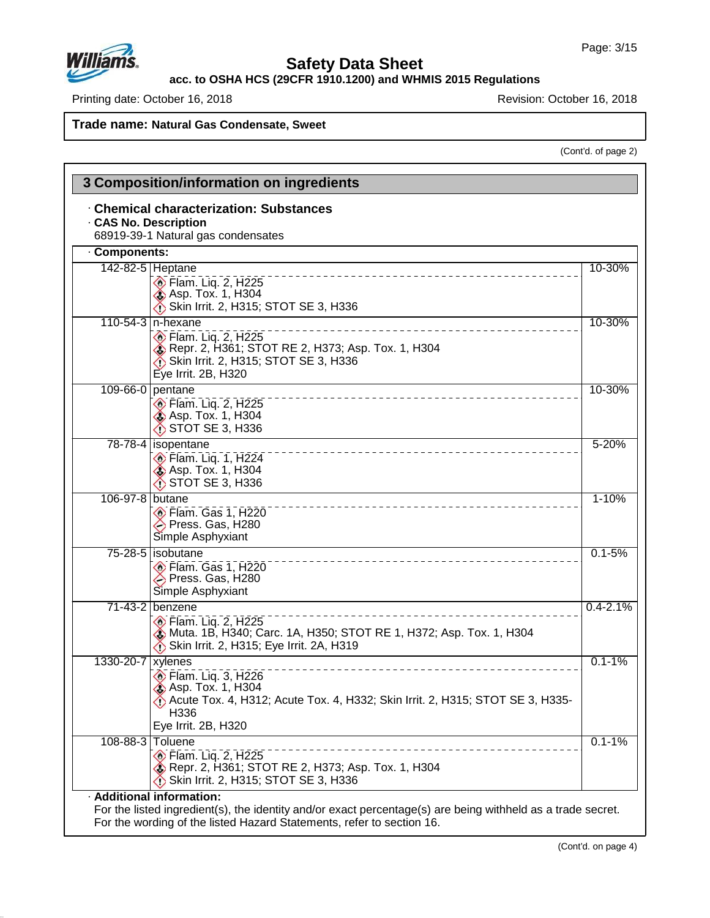

# **Safety Data Sheet**

**acc. to OSHA HCS (29CFR 1910.1200) and WHMIS 2015 Regulations**

Printing date: October 16, 2018 **Printing date: October 16, 2018** Revision: October 16, 2018

**Trade name: Natural Gas Condensate, Sweet**

(Cont'd. of page 2)

|                     | · Chemical characterization: Substances<br><b>CAS No. Description</b><br>68919-39-1 Natural gas condensates                                                                   |              |
|---------------------|-------------------------------------------------------------------------------------------------------------------------------------------------------------------------------|--------------|
| Components:         |                                                                                                                                                                               |              |
|                     | 142-82-5 Heptane<br><b>Elam.</b> Liq. 2, H225<br><b>&amp; Asp. Tox. 1, H304</b><br>Skin Irrit. 2, H315; STOT SE 3, H336                                                       | 10-30%       |
|                     | 110-54-3   n-hexane<br>$\circ$ Flam. Lig. 2, H225<br>Repr. 2, H361; STOT RE 2, H373; Asp. Tox. 1, H304<br>Skin Irrit. 2, H315; STOT SE 3, H336<br>Eye Irrit. 2B, H320         | 10-30%       |
|                     | 109-66-0 pentane<br>$\diamondsuit$ Flam. Liq. 2, H225<br>Asp. Tox. 1, H304<br>$\bigwedge$ STOT SE 3, H336                                                                     | 10-30%       |
|                     | 78-78-4 isopentane<br>$\circ$ Flam. Liq. 1, H224<br><b>&amp; Asp. Tox. 1, H304</b><br>$\bigwedge$ STOT SE 3, H336                                                             | $5 - 20%$    |
| 106-97-8 butane     | $\circledcirc$ Flam. Gas 1, H220<br>→ Press. Gas, H280<br>Simple Asphyxiant                                                                                                   | $1 - 10%$    |
|                     | 75-28-5 isobutane<br>$\circ$ Flam. Gas 1, H220<br>→ Press. Gas, H280<br>Simple Asphyxiant                                                                                     | $0.1 - 5%$   |
|                     | 71-43-2 benzene<br><b>Elam. Lig. 2, H225</b><br>Muta. 1B, H340; Carc. 1A, H350; STOT RE 1, H372; Asp. Tox. 1, H304<br>Skin Irrit. 2, H315; Eye Irrit. 2A, H319                | $0.4 - 2.1%$ |
| 1330-20-7   xylenes | $\diamondsuit$ Flam. Liq. 3, H226<br><b>Asp. Tox. 1, H304</b><br>Acute Tox. 4, H312; Acute Tox. 4, H332; Skin Irrit. 2, H315; STOT SE 3, H335-<br>H336<br>Eye Irrit. 2B, H320 | $0.1 - 1%$   |
|                     | 108-88-3 Toluene<br><b>Elam.</b> Lig. 2, H225<br>Repr. 2, H361; STOT RE 2, H373; Asp. Tox. 1, H304<br>Skin Irrit. 2, H315; STOT SE 3, H336                                    | $0.1 - 1%$   |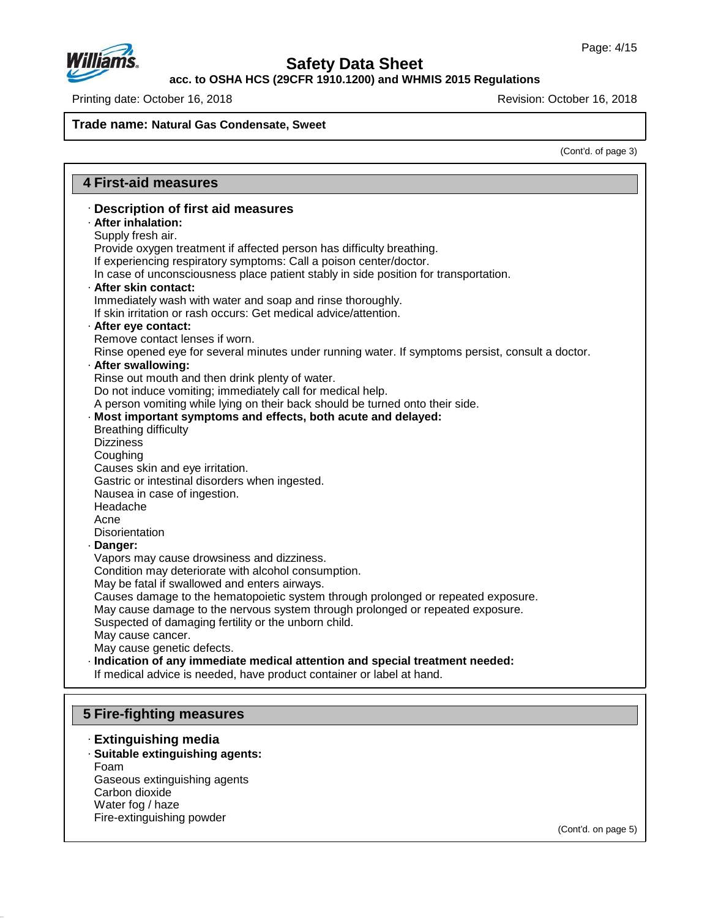

**acc. to OSHA HCS (29CFR 1910.1200) and WHMIS 2015 Regulations**

Printing date: October 16, 2018 **Printing date: October 16, 2018** 

**Trade name: Natural Gas Condensate, Sweet**

(Cont'd. of page 3)

| <b>4 First-aid measures</b>                                                                                                    |
|--------------------------------------------------------------------------------------------------------------------------------|
| · Description of first aid measures                                                                                            |
| · After inhalation:                                                                                                            |
| Supply fresh air.                                                                                                              |
| Provide oxygen treatment if affected person has difficulty breathing.                                                          |
| If experiencing respiratory symptoms: Call a poison center/doctor.                                                             |
| In case of unconsciousness place patient stably in side position for transportation.                                           |
| · After skin contact:                                                                                                          |
| Immediately wash with water and soap and rinse thoroughly.<br>If skin irritation or rash occurs: Get medical advice/attention. |
|                                                                                                                                |
| · After eye contact:<br>Remove contact lenses if worn.                                                                         |
| Rinse opened eye for several minutes under running water. If symptoms persist, consult a doctor.                               |
| · After swallowing:                                                                                                            |
| Rinse out mouth and then drink plenty of water.                                                                                |
| Do not induce vomiting; immediately call for medical help.                                                                     |
| A person vomiting while lying on their back should be turned onto their side.                                                  |
| · Most important symptoms and effects, both acute and delayed:                                                                 |
| <b>Breathing difficulty</b>                                                                                                    |
| <b>Dizziness</b>                                                                                                               |
| Coughing                                                                                                                       |
| Causes skin and eye irritation.                                                                                                |
| Gastric or intestinal disorders when ingested.                                                                                 |
| Nausea in case of ingestion.                                                                                                   |
| Headache                                                                                                                       |
| Acne                                                                                                                           |
| Disorientation                                                                                                                 |
| Danger:                                                                                                                        |
| Vapors may cause drowsiness and dizziness.                                                                                     |
| Condition may deteriorate with alcohol consumption.<br>May be fatal if swallowed and enters airways.                           |
| Causes damage to the hematopoietic system through prolonged or repeated exposure.                                              |
| May cause damage to the nervous system through prolonged or repeated exposure.                                                 |
| Suspected of damaging fertility or the unborn child.                                                                           |
| May cause cancer.                                                                                                              |
| May cause genetic defects.                                                                                                     |
| · Indication of any immediate medical attention and special treatment needed:                                                  |
| If medical advice is needed, have product container or label at hand.                                                          |
|                                                                                                                                |
|                                                                                                                                |
| 5 Fire-fighting measures                                                                                                       |

### · **Extinguishing media**

- · **Suitable extinguishing agents:** Foam Gaseous extinguishing agents Carbon dioxide
- Water fog / haze

47.0.13

Fire-extinguishing powder

(Cont'd. on page 5)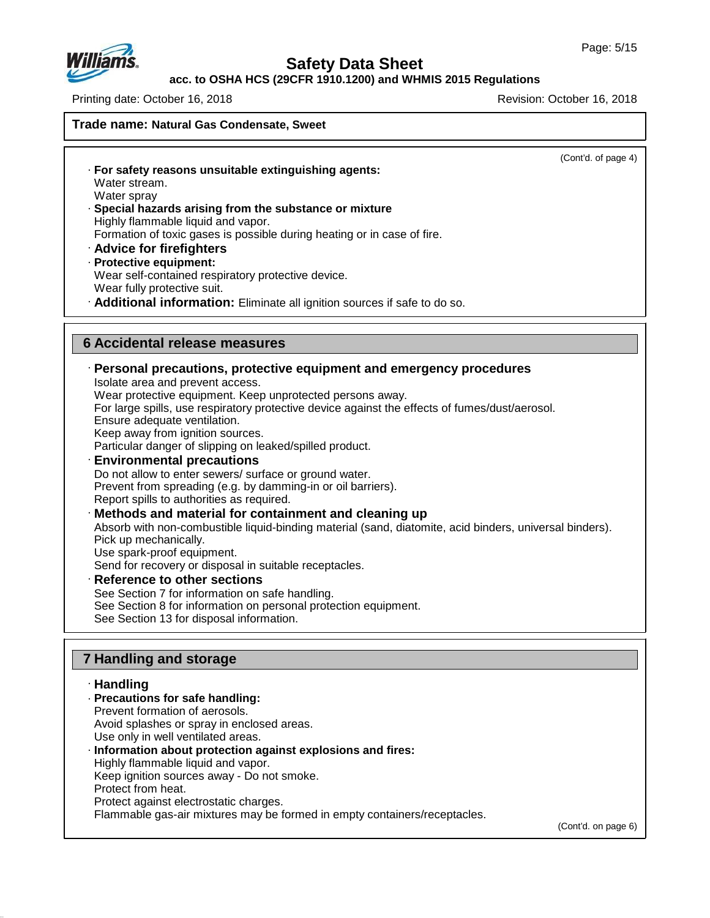

### **Safety Data Sheet**

### **acc. to OSHA HCS (29CFR 1910.1200) and WHMIS 2015 Regulations**

Printing date: October 16, 2018 Revision: October 16, 2018

**Trade name: Natural Gas Condensate, Sweet** (Cont'd. of page 4) · **For safety reasons unsuitable extinguishing agents:** Water stream. Water spray · **Special hazards arising from the substance or mixture** Highly flammable liquid and vapor. Formation of toxic gases is possible during heating or in case of fire. · **Advice for firefighters** · **Protective equipment:** Wear self-contained respiratory protective device. Wear fully protective suit. · **Additional information:** Eliminate all ignition sources if safe to do so. **6 Accidental release measures** · **Personal precautions, protective equipment and emergency procedures** Isolate area and prevent access. Wear protective equipment. Keep unprotected persons away. For large spills, use respiratory protective device against the effects of fumes/dust/aerosol. Ensure adequate ventilation. Keep away from ignition sources. Particular danger of slipping on leaked/spilled product. · **Environmental precautions** Do not allow to enter sewers/ surface or ground water. Prevent from spreading (e.g. by damming-in or oil barriers). Report spills to authorities as required. · **Methods and material for containment and cleaning up** Absorb with non-combustible liquid-binding material (sand, diatomite, acid binders, universal binders). Pick up mechanically. Use spark-proof equipment. Send for recovery or disposal in suitable receptacles. · **Reference to other sections** See Section 7 for information on safe handling. See Section 8 for information on personal protection equipment. See Section 13 for disposal information. **7 Handling and storage** · **Handling** · **Precautions for safe handling:** Prevent formation of aerosols. Avoid splashes or spray in enclosed areas. Use only in well ventilated areas.

· **Information about protection against explosions and fires:** Highly flammable liquid and vapor. Keep ignition sources away - Do not smoke. Protect from heat. Protect against electrostatic charges. Flammable gas-air mixtures may be formed in empty containers/receptacles.

(Cont'd. on page 6)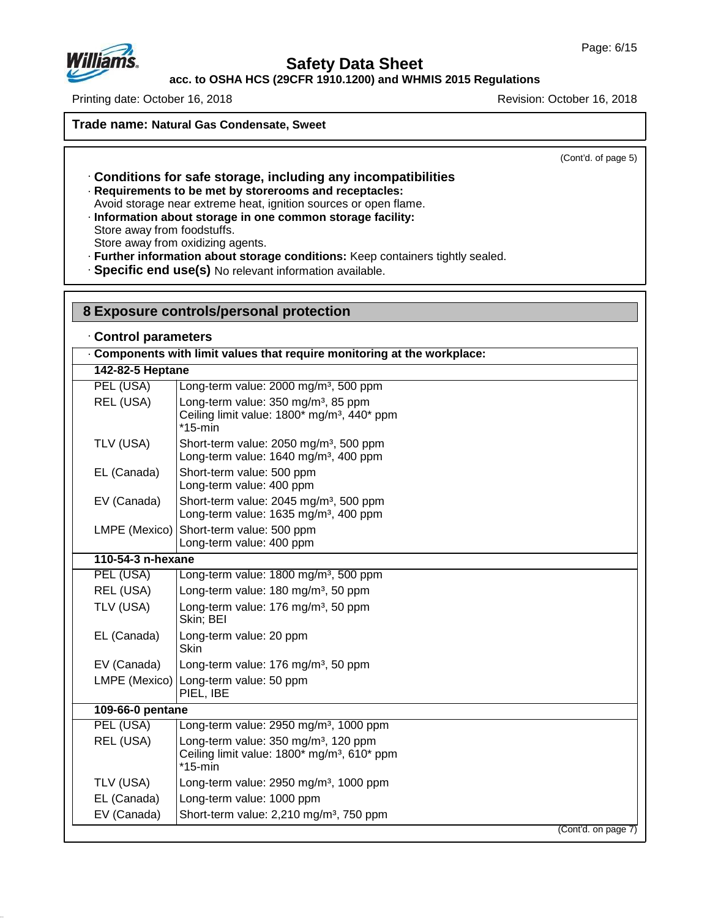

# **Safety Data Sheet**

**acc. to OSHA HCS (29CFR 1910.1200) and WHMIS 2015 Regulations**

Printing date: October 16, 2018 Revision: October 16, 2018

**Trade name: Natural Gas Condensate, Sweet**

(Cont'd. of page 5)

- · **Conditions for safe storage, including any incompatibilities** · **Requirements to be met by storerooms and receptacles:**
- Avoid storage near extreme heat, ignition sources or open flame.

· **Information about storage in one common storage facility:** Store away from foodstuffs. Store away from oxidizing agents.

· **Further information about storage conditions:** Keep containers tightly sealed.

· **Specific end use(s)** No relevant information available.

| 8 Exposure controls/personal protection<br>Control parameters |                                                                                                                           |  |  |
|---------------------------------------------------------------|---------------------------------------------------------------------------------------------------------------------------|--|--|
|                                                               |                                                                                                                           |  |  |
| 142-82-5 Heptane                                              |                                                                                                                           |  |  |
| PEL (USA)                                                     | Long-term value: 2000 mg/m <sup>3</sup> , 500 ppm                                                                         |  |  |
| REL (USA)                                                     | Long-term value: 350 mg/m <sup>3</sup> , 85 ppm<br>Ceiling limit value: 1800* mg/m <sup>3</sup> , 440* ppm<br>$*15$ -min  |  |  |
| TLV (USA)                                                     | Short-term value: 2050 mg/m <sup>3</sup> , 500 ppm<br>Long-term value: 1640 mg/m <sup>3</sup> , 400 ppm                   |  |  |
| EL (Canada)                                                   | Short-term value: 500 ppm<br>Long-term value: 400 ppm                                                                     |  |  |
| EV (Canada)                                                   | Short-term value: 2045 mg/m <sup>3</sup> , 500 ppm<br>Long-term value: 1635 mg/m <sup>3</sup> , 400 ppm                   |  |  |
| LMPE (Mexico)                                                 | Short-term value: 500 ppm<br>Long-term value: 400 ppm                                                                     |  |  |
| 110-54-3 n-hexane                                             |                                                                                                                           |  |  |
| PEL (USA)                                                     | Long-term value: 1800 mg/m <sup>3</sup> , 500 ppm                                                                         |  |  |
| REL (USA)                                                     | Long-term value: 180 mg/m <sup>3</sup> , 50 ppm                                                                           |  |  |
| TLV (USA)                                                     | Long-term value: 176 mg/m <sup>3</sup> , 50 ppm<br>Skin; BEI                                                              |  |  |
| EL (Canada)                                                   | Long-term value: 20 ppm<br><b>Skin</b>                                                                                    |  |  |
| EV (Canada)                                                   | Long-term value: 176 mg/m <sup>3</sup> , 50 ppm                                                                           |  |  |
| LMPE (Mexico)                                                 | Long-term value: 50 ppm<br>PIEL, IBE                                                                                      |  |  |
| 109-66-0 pentane                                              |                                                                                                                           |  |  |
| PEL (USA)                                                     | Long-term value: 2950 mg/m <sup>3</sup> , 1000 ppm                                                                        |  |  |
| REL (USA)                                                     | Long-term value: 350 mg/m <sup>3</sup> , 120 ppm<br>Ceiling limit value: 1800* mg/m <sup>3</sup> , 610* ppm<br>$*15$ -min |  |  |
| TLV (USA)                                                     | Long-term value: 2950 mg/m <sup>3</sup> , 1000 ppm                                                                        |  |  |
| EL (Canada)                                                   | Long-term value: 1000 ppm                                                                                                 |  |  |
| EV (Canada)                                                   | Short-term value: 2,210 mg/m <sup>3</sup> , 750 ppm                                                                       |  |  |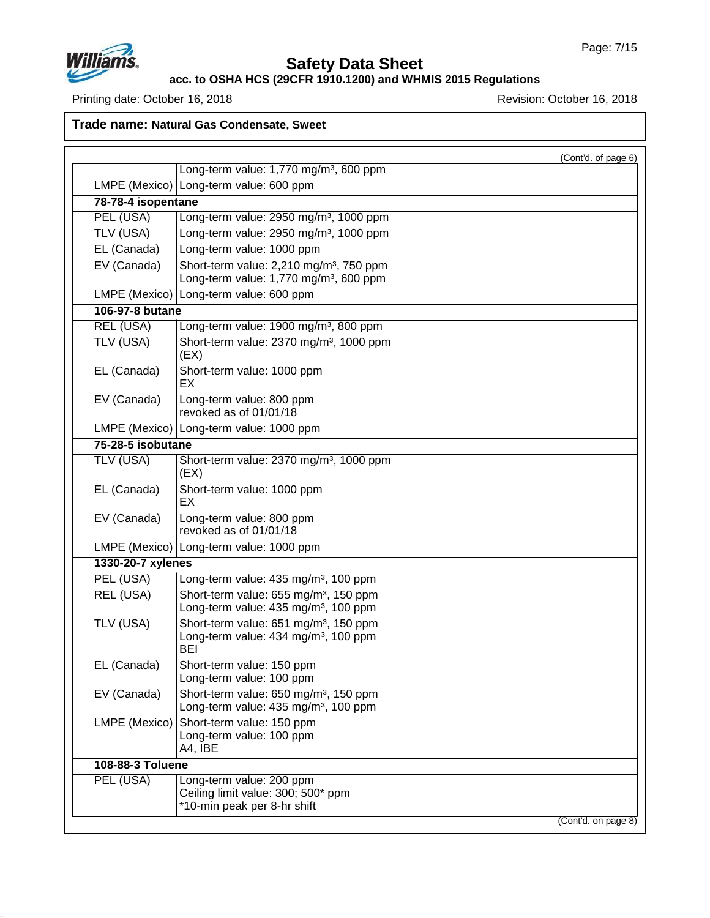

# **Safety Data Sheet**

**acc. to OSHA HCS (29CFR 1910.1200) and WHMIS 2015 Regulations**

Printing date: October 16, 2018 **Printing date: October 16, 2018** 

**Trade name: Natural Gas Condensate, Sweet**

|                    |                                                                                                              | (Cont'd. of page 6) |
|--------------------|--------------------------------------------------------------------------------------------------------------|---------------------|
|                    | Long-term value: 1,770 mg/m <sup>3</sup> , 600 ppm                                                           |                     |
|                    | LMPE (Mexico)   Long-term value: 600 ppm                                                                     |                     |
| 78-78-4 isopentane |                                                                                                              |                     |
| PEL (USA)          | Long-term value: 2950 mg/m <sup>3</sup> , 1000 ppm                                                           |                     |
| TLV (USA)          | Long-term value: 2950 mg/m <sup>3</sup> , 1000 ppm                                                           |                     |
| EL (Canada)        | Long-term value: 1000 ppm                                                                                    |                     |
| EV (Canada)        | Short-term value: 2,210 mg/m <sup>3</sup> , 750 ppm<br>Long-term value: 1,770 mg/m <sup>3</sup> , 600 ppm    |                     |
|                    | LMPE (Mexico) Long-term value: 600 ppm                                                                       |                     |
| 106-97-8 butane    |                                                                                                              |                     |
| <b>REL (USA)</b>   | Long-term value: 1900 mg/m <sup>3</sup> , 800 ppm                                                            |                     |
| TLV (USA)          | Short-term value: 2370 mg/m <sup>3</sup> , 1000 ppm<br>(EX)                                                  |                     |
| EL (Canada)        | Short-term value: 1000 ppm<br>EX                                                                             |                     |
| EV (Canada)        | Long-term value: 800 ppm<br>revoked as of 01/01/18                                                           |                     |
|                    | LMPE (Mexico)   Long-term value: 1000 ppm                                                                    |                     |
| 75-28-5 isobutane  |                                                                                                              |                     |
| TLV (USA)          | Short-term value: 2370 mg/m <sup>3</sup> , 1000 ppm<br>(EX)                                                  |                     |
| EL (Canada)        | Short-term value: 1000 ppm<br>EX                                                                             |                     |
| EV (Canada)        | Long-term value: 800 ppm<br>revoked as of 01/01/18                                                           |                     |
|                    | LMPE (Mexico)   Long-term value: 1000 ppm                                                                    |                     |
| 1330-20-7 xylenes  |                                                                                                              |                     |
| PEL (USA)          | Long-term value: 435 mg/m <sup>3</sup> , 100 ppm                                                             |                     |
| REL (USA)          | Short-term value: 655 mg/m <sup>3</sup> , 150 ppm<br>Long-term value: 435 mg/m <sup>3</sup> , 100 ppm        |                     |
| TLV (USA)          | Short-term value: 651 mg/m <sup>3</sup> , 150 ppm<br>Long-term value: 434 mg/m <sup>3</sup> , 100 ppm<br>BEI |                     |
| EL (Canada)        | Short-term value: 150 ppm<br>Long-term value: 100 ppm                                                        |                     |
| EV (Canada)        | Short-term value: 650 mg/m <sup>3</sup> , 150 ppm<br>Long-term value: 435 mg/m <sup>3</sup> , 100 ppm        |                     |
| LMPE (Mexico)      | Short-term value: 150 ppm<br>Long-term value: 100 ppm<br>A4, IBE                                             |                     |
| 108-88-3 Toluene   |                                                                                                              |                     |
| PEL (USA)          | Long-term value: 200 ppm<br>Ceiling limit value: 300; 500* ppm<br>*10-min peak per 8-hr shift                |                     |
|                    |                                                                                                              | (Cont'd. on page 8) |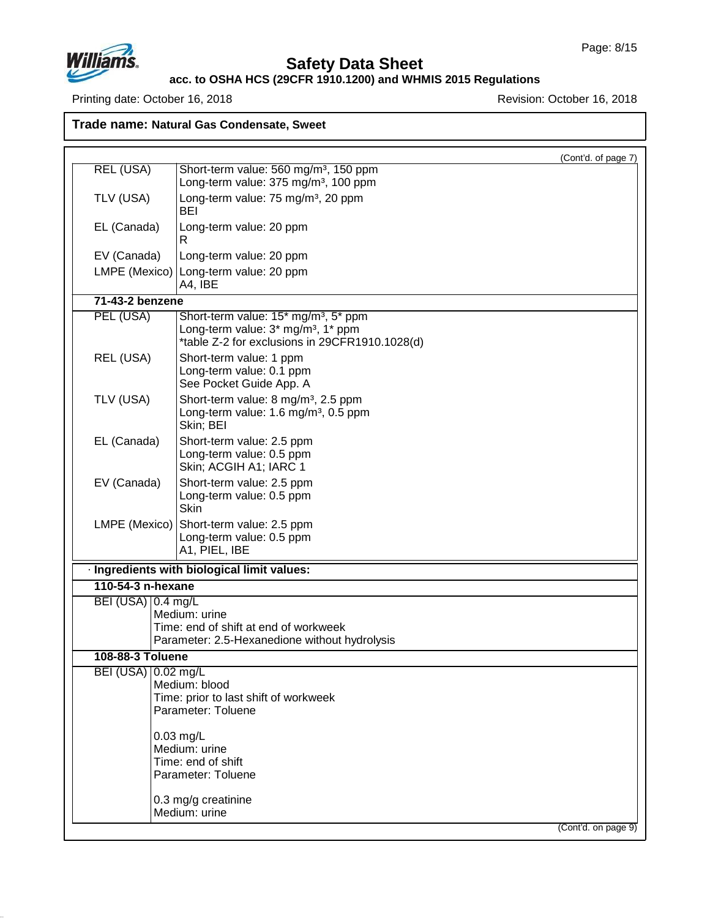

# **Safety Data Sheet**

#### **acc. to OSHA HCS (29CFR 1910.1200) and WHMIS 2015 Regulations**

Printing date: October 16, 2018 **Printing date: October 16, 2018** 

**Trade name: Natural Gas Condensate, Sweet**

|                                             |                                                                                                                                                      | (Cont'd. of page 7) |
|---------------------------------------------|------------------------------------------------------------------------------------------------------------------------------------------------------|---------------------|
| <b>REL (USA)</b>                            | Short-term value: 560 mg/m <sup>3</sup> , 150 ppm                                                                                                    |                     |
|                                             | Long-term value: 375 mg/m <sup>3</sup> , 100 ppm                                                                                                     |                     |
| TLV (USA)                                   | Long-term value: 75 mg/m <sup>3</sup> , 20 ppm<br><b>BEI</b>                                                                                         |                     |
| Long-term value: 20 ppm<br>EL (Canada)<br>R |                                                                                                                                                      |                     |
| EV (Canada)                                 | Long-term value: 20 ppm                                                                                                                              |                     |
| LMPE (Mexico)                               | Long-term value: 20 ppm<br>A4, IBE                                                                                                                   |                     |
| 71-43-2 benzene                             |                                                                                                                                                      |                     |
| PEL (USA)                                   | Short-term value: 15* mg/m <sup>3</sup> , 5* ppm<br>Long-term value: 3* mg/m <sup>3</sup> , 1* ppm<br>*table Z-2 for exclusions in 29CFR1910.1028(d) |                     |
| REL (USA)                                   | Short-term value: 1 ppm<br>Long-term value: 0.1 ppm<br>See Pocket Guide App. A                                                                       |                     |
| TLV (USA)                                   | Short-term value: 8 mg/m <sup>3</sup> , 2.5 ppm<br>Long-term value: 1.6 mg/m <sup>3</sup> , 0.5 ppm<br>Skin; BEI                                     |                     |
| EL (Canada)                                 | Short-term value: 2.5 ppm<br>Long-term value: 0.5 ppm<br>Skin; ACGIH A1; IARC 1                                                                      |                     |
| EV (Canada)                                 | Short-term value: 2.5 ppm<br>Long-term value: 0.5 ppm<br><b>Skin</b>                                                                                 |                     |
| LMPE (Mexico)                               | Short-term value: 2.5 ppm<br>Long-term value: 0.5 ppm<br>A1, PIEL, IBE                                                                               |                     |
|                                             | · Ingredients with biological limit values:                                                                                                          |                     |
| 110-54-3 n-hexane                           |                                                                                                                                                      |                     |
| BEI (USA) 0.4 mg/L                          |                                                                                                                                                      |                     |
|                                             | Medium: urine                                                                                                                                        |                     |
|                                             | Time: end of shift at end of workweek<br>Parameter: 2.5-Hexanedione without hydrolysis                                                               |                     |
| <b>108-88-3 Toluene</b>                     |                                                                                                                                                      |                     |
| BEI (USA) 0.02 mg/L                         |                                                                                                                                                      |                     |
|                                             | Medium: blood                                                                                                                                        |                     |
|                                             | Time: prior to last shift of workweek                                                                                                                |                     |
|                                             | Parameter: Toluene                                                                                                                                   |                     |
|                                             | $0.03$ mg/L<br>Medium: urine                                                                                                                         |                     |
|                                             | Time: end of shift<br>Parameter: Toluene                                                                                                             |                     |
|                                             | 0.3 mg/g creatinine<br>Medium: urine                                                                                                                 |                     |
|                                             |                                                                                                                                                      | (Cont'd. on page 9) |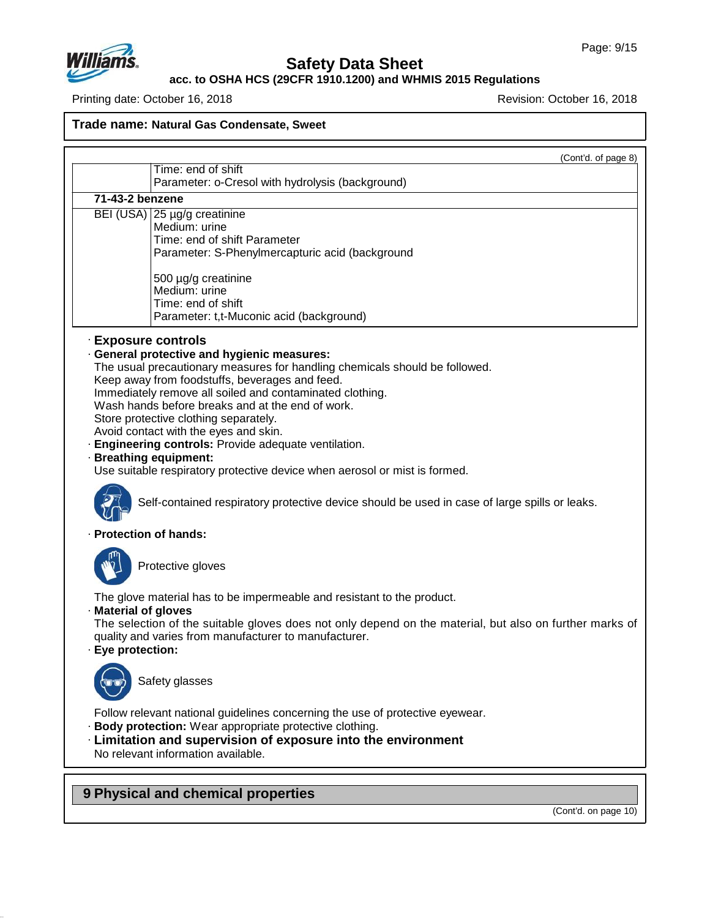

**acc. to OSHA HCS (29CFR 1910.1200) and WHMIS 2015 Regulations**

Printing date: October 16, 2018 **Printing date: October 16, 2018** 

**Trade name: Natural Gas Condensate, Sweet**

 $(Cont'd \text{ of page } 8)$ 

|                                           | som a. or pago o                                                                                                                                                                                                                                                                                                                                                                                                                                                                                                                                                                                                                                 |
|-------------------------------------------|--------------------------------------------------------------------------------------------------------------------------------------------------------------------------------------------------------------------------------------------------------------------------------------------------------------------------------------------------------------------------------------------------------------------------------------------------------------------------------------------------------------------------------------------------------------------------------------------------------------------------------------------------|
|                                           | Time: end of shift<br>Parameter: o-Cresol with hydrolysis (background)                                                                                                                                                                                                                                                                                                                                                                                                                                                                                                                                                                           |
| 71-43-2 benzene                           |                                                                                                                                                                                                                                                                                                                                                                                                                                                                                                                                                                                                                                                  |
|                                           | BEI (USA) 25 µg/g creatinine<br>Medium: urine<br>Time: end of shift Parameter<br>Parameter: S-Phenylmercapturic acid (background<br>500 µg/g creatinine<br>Medium: urine<br>Time: end of shift<br>Parameter: t,t-Muconic acid (background)                                                                                                                                                                                                                                                                                                                                                                                                       |
| · Exposure controls                       | · General protective and hygienic measures:<br>The usual precautionary measures for handling chemicals should be followed.<br>Keep away from foodstuffs, beverages and feed.<br>Immediately remove all soiled and contaminated clothing.<br>Wash hands before breaks and at the end of work.<br>Store protective clothing separately.<br>Avoid contact with the eyes and skin.<br>· Engineering controls: Provide adequate ventilation.<br>· Breathing equipment:<br>Use suitable respiratory protective device when aerosol or mist is formed.<br>Self-contained respiratory protective device should be used in case of large spills or leaks. |
| · Protection of hands:                    |                                                                                                                                                                                                                                                                                                                                                                                                                                                                                                                                                                                                                                                  |
|                                           | Protective gloves                                                                                                                                                                                                                                                                                                                                                                                                                                                                                                                                                                                                                                |
| · Material of gloves<br>· Eye protection: | The glove material has to be impermeable and resistant to the product.<br>The selection of the suitable gloves does not only depend on the material, but also on further marks of<br>quality and varies from manufacturer to manufacturer.                                                                                                                                                                                                                                                                                                                                                                                                       |
|                                           | Safety glasses                                                                                                                                                                                                                                                                                                                                                                                                                                                                                                                                                                                                                                   |
|                                           | Follow relevant national guidelines concerning the use of protective eyewear.<br>· Body protection: Wear appropriate protective clothing.<br>· Limitation and supervision of exposure into the environment<br>No relevant information available.                                                                                                                                                                                                                                                                                                                                                                                                 |

**9 Physical and chemical properties**

47.0.13

(Cont'd. on page 10)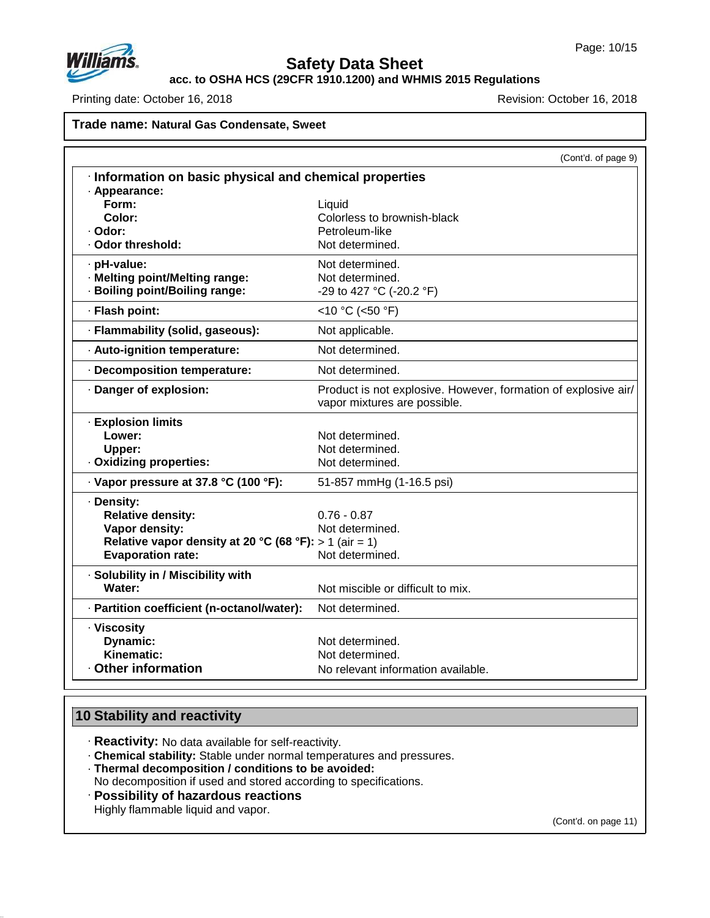

**acc. to OSHA HCS (29CFR 1910.1200) and WHMIS 2015 Regulations**

Printing date: October 16, 2018 **Printing date: October 16, 2018** 

### **Trade name: Natural Gas Condensate, Sweet**

|                                                                                                                                                | (Cont'd. of page 9)                                                                            |
|------------------------------------------------------------------------------------------------------------------------------------------------|------------------------------------------------------------------------------------------------|
| Information on basic physical and chemical properties                                                                                          |                                                                                                |
| · Appearance:<br>Form:<br>Color:<br>· Odor:<br>· Odor threshold:                                                                               | Liquid<br>Colorless to brownish-black<br>Petroleum-like<br>Not determined.                     |
| · pH-value:<br>· Melting point/Melting range:<br>· Boiling point/Boiling range:                                                                | Not determined.<br>Not determined.<br>-29 to 427 °C (-20.2 °F)                                 |
| · Flash point:                                                                                                                                 | <10 °C (<50 °F)                                                                                |
| · Flammability (solid, gaseous):                                                                                                               | Not applicable.                                                                                |
| · Auto-ignition temperature:                                                                                                                   | Not determined.                                                                                |
| · Decomposition temperature:                                                                                                                   | Not determined.                                                                                |
| · Danger of explosion:                                                                                                                         | Product is not explosive. However, formation of explosive air/<br>vapor mixtures are possible. |
| · Explosion limits<br>Lower:<br>Upper:<br>· Oxidizing properties:                                                                              | Not determined.<br>Not determined.<br>Not determined.                                          |
| · Vapor pressure at 37.8 °C (100 °F):                                                                                                          | 51-857 mmHg (1-16.5 psi)                                                                       |
| · Density:<br><b>Relative density:</b><br>Vapor density:<br>Relative vapor density at 20 °C (68 °F): > 1 (air = 1)<br><b>Evaporation rate:</b> | $0.76 - 0.87$<br>Not determined.<br>Not determined.                                            |
| · Solubility in / Miscibility with<br>Water:                                                                                                   | Not miscible or difficult to mix.                                                              |
| · Partition coefficient (n-octanol/water):                                                                                                     | Not determined.                                                                                |
| · Viscosity<br>Dynamic:<br>Kinematic:<br>Other information                                                                                     | Not determined.<br>Not determined.<br>No relevant information available.                       |

### **10 Stability and reactivity**

47.0.13

· **Reactivity:** No data available for self-reactivity.

- · **Chemical stability:** Stable under normal temperatures and pressures.
- · **Thermal decomposition / conditions to be avoided:**
- No decomposition if used and stored according to specifications.
- · **Possibility of hazardous reactions**

Highly flammable liquid and vapor.

(Cont'd. on page 11)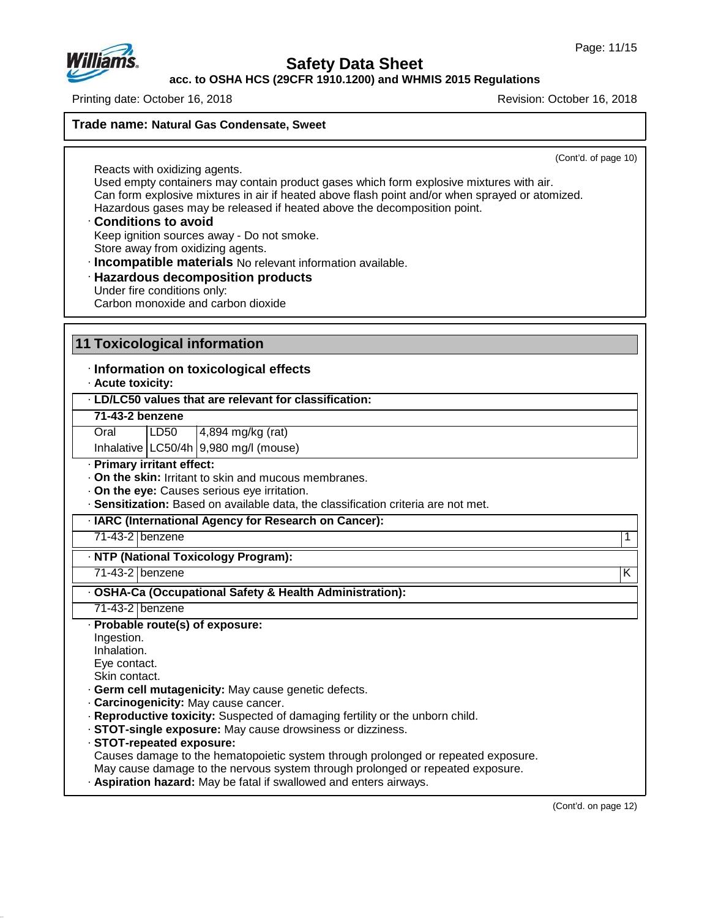

**acc. to OSHA HCS (29CFR 1910.1200) and WHMIS 2015 Regulations**

Printing date: October 16, 2018 Revision: October 16, 2018

**Trade name: Natural Gas Condensate, Sweet**

(Cont'd. of page 10)

Reacts with oxidizing agents. Used empty containers may contain product gases which form explosive mixtures with air. Can form explosive mixtures in air if heated above flash point and/or when sprayed or atomized. Hazardous gases may be released if heated above the decomposition point.

#### · **Conditions to avoid** Keep ignition sources away - Do not smoke. Store away from oxidizing agents.

· **Incompatible materials** No relevant information available.

· **Hazardous decomposition products** Under fire conditions only: Carbon monoxide and carbon dioxide

### **11 Toxicological information**

· **Information on toxicological effects**

· **Acute toxicity:**

- · **LD/LC50 values that are relevant for classification:**
- **71-43-2 benzene**

Oral LD50 4,894 mg/kg (rat)

Inhalative  $LC50/4h$  9,980 mg/l (mouse)

· **Primary irritant effect:**

- · **On the skin:** Irritant to skin and mucous membranes.
- · **On the eye:** Causes serious eye irritation.
- · **Sensitization:** Based on available data, the classification criteria are not met.

· **IARC (International Agency for Research on Cancer):**

71-43-2 benzene 1

#### · **NTP (National Toxicology Program):**

71-43-2 benzene K

### · **OSHA-Ca (Occupational Safety & Health Administration):**

71-43-2 benzene

- · **Probable route(s) of exposure:**
- Ingestion.

Inhalation.

47.0.13

Eye contact.

Skin contact.

- · **Germ cell mutagenicity:** May cause genetic defects.
- · **Carcinogenicity:** May cause cancer.
- · **Reproductive toxicity:** Suspected of damaging fertility or the unborn child.
- · **STOT-single exposure:** May cause drowsiness ordizziness.
- · **STOT-repeated exposure:**

Causes damage to the hematopoietic system through prolonged or repeated exposure.

May cause damage to the nervous system through prolonged or repeated exposure.

· **Aspiration hazard:** May be fatal if swallowed and enters airways.

(Cont'd. on page 12)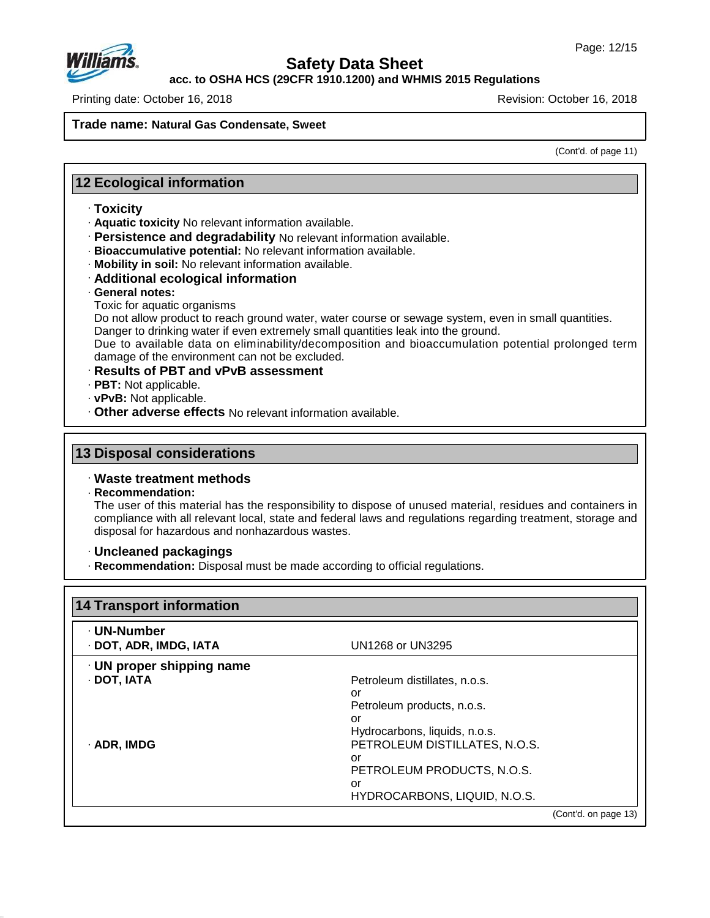

**acc. to OSHA HCS (29CFR 1910.1200) and WHMIS 2015 Regulations**

Printing date: October 16, 2018 Revision: October 16, 2018

**Trade name: Natural Gas Condensate, Sweet**

(Cont'd. of page 11)

### **12 Ecological information**

- · **Toxicity**
- · **Aquatic toxicity** No relevant information available.
- · **Persistence and degradability** No relevant information available.
- · **Bioaccumulative potential:** No relevant information available.
- · **Mobility in soil:** No relevant information available.
- · **Additional ecological information**
- · **General notes:**
- Toxic for aquatic organisms

Do not allow product to reach ground water, water course or sewage system, even in small quantities. Danger to drinking water if even extremely small quantities leak into the ground.

Due to available data on eliminability/decomposition and bioaccumulation potential prolonged term damage of the environment can not be excluded.

- · **Results of PBT and vPvB assessment**
- · **PBT:** Not applicable.
- · **vPvB:** Not applicable.
- · **Other adverse effects** No relevant information available.

#### **13 Disposal considerations**

#### · **Waste treatment methods**

· **Recommendation:**

47.0.13

The user of this material has the responsibility to dispose of unused material, residues and containers in compliance with all relevant local, state and federal laws and regulations regarding treatment, storage and disposal for hazardous and nonhazardous wastes.

#### · **Uncleaned packagings**

· **Recommendation:** Disposal must be made according to official regulations.

| 14 Transport information        |                               |  |
|---------------------------------|-------------------------------|--|
| · UN-Number                     |                               |  |
| · DOT, ADR, IMDG, IATA          | UN1268 or UN3295              |  |
| $\cdot$ UN proper shipping name |                               |  |
| · DOT, IATA                     | Petroleum distillates, n.o.s. |  |
|                                 | or                            |  |
|                                 | Petroleum products, n.o.s.    |  |
|                                 | or                            |  |
|                                 | Hydrocarbons, liquids, n.o.s. |  |
| · ADR, IMDG                     | PETROLEUM DISTILLATES, N.O.S. |  |
|                                 | or                            |  |
|                                 | PETROLEUM PRODUCTS, N.O.S.    |  |
|                                 | or                            |  |
|                                 | HYDROCARBONS, LIQUID, N.O.S.  |  |
|                                 | (Cont'd. on page 13)          |  |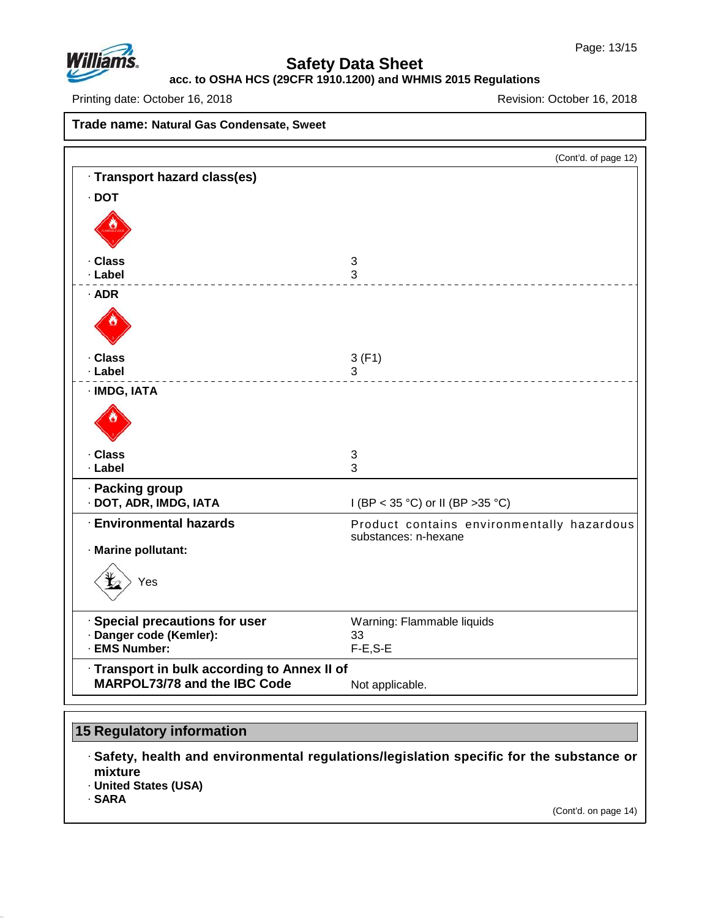

# **acc. to OSHA HCS (29CFR 1910.1200) and WHMIS 2015 Regulations**

Printing date: October 16, 2018 **Principal and Principal Access 2018** Revision: October 16, 2018

| Trade name: Natural Gas Condensate, Sweet                                  |                                                                    |
|----------------------------------------------------------------------------|--------------------------------------------------------------------|
|                                                                            | (Cont'd. of page 12)                                               |
| · Transport hazard class(es)                                               |                                                                    |
| $\cdot$ DOT                                                                |                                                                    |
|                                                                            |                                                                    |
| · Class                                                                    | 3                                                                  |
| · Label                                                                    | 3                                                                  |
| $·$ ADR                                                                    |                                                                    |
|                                                                            |                                                                    |
| · Class                                                                    | 3(F1)                                                              |
| · Label                                                                    | 3                                                                  |
| · IMDG, IATA                                                               |                                                                    |
|                                                                            |                                                                    |
| . Class                                                                    | $\sqrt{3}$                                                         |
| · Label                                                                    | 3                                                                  |
| · Packing group<br>· DOT, ADR, IMDG, IATA                                  | I (BP < 35 °C) or II (BP > 35 °C)                                  |
| <b>Environmental hazards</b>                                               | Product contains environmentally hazardous<br>substances: n-hexane |
| · Marine pollutant:                                                        |                                                                    |
| Yes                                                                        |                                                                    |
| <b>Special precautions for user</b>                                        | Warning: Flammable liquids                                         |
| · Danger code (Kemler):                                                    | 33                                                                 |
| · EMS Number:                                                              | $F-E, S-E$                                                         |
| Transport in bulk according to Annex II of<br>MARPOL73/78 and the IBC Code | Not applicable.                                                    |

# **15 Regulatory information**

· **Safety, health and environmental regulations/legislation specific for the substance or mixture**

· **United States (USA)**

· **SARA**

47.0.13

(Cont'd. on page 14)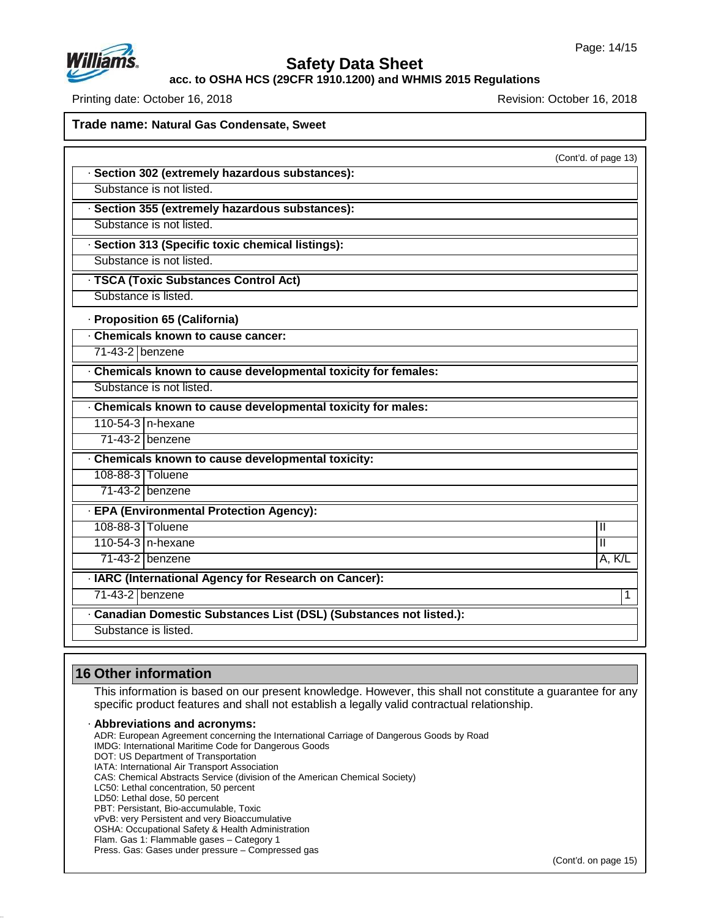

**acc. to OSHA HCS (29CFR 1910.1200) and WHMIS 2015 Regulations**

Printing date: October 16, 2018 Revision: October 16, 2018

**Trade name: Natural Gas Condensate, Sweet** (Cont'd. of page 13) · **Section 302 (extremely hazardous substances):** Substance is not listed. · **Section 355 (extremely hazardous substances):** Substance is not listed. · **Section 313 (Specific toxic chemical listings):** Substance is not listed. · **TSCA (Toxic Substances Control Act)** Substance is listed. · **Proposition 65 (California)** · **Chemicals known to cause cancer:** 71-43-2 benzene · **Chemicals known to cause developmental toxicity for females:** Substance is not listed. · **Chemicals known to cause developmental toxicity for males:** 110-54-3 n-hexane 71-43-2 benzene · **Chemicals known to cause developmental toxicity:** 108-88-3 Toluene 71-43-2 benzene · **EPA (Environmental Protection Agency):** 108-88-3 Toluene II 110-54-3 n-hexane II 71-43-2 benzene A, K/L · **IARC (International Agency for Research on Cancer):** 71-43-2 benzene 1 · **Canadian Domestic Substances List (DSL) (Substances not listed.):** Substance is listed.

### **16 Other information**

47.0.13

This information is based on our present knowledge. However, this shall not constitute a guarantee for any specific product features and shall not establish a legally valid contractual relationship.

· **Abbreviations and acronyms:** ADR: European Agreement concerning the International Carriage of Dangerous Goods by Road IMDG: International Maritime Code for Dangerous Goods DOT: US Department of Transportation IATA: International Air Transport Association CAS: Chemical Abstracts Service (division of the American Chemical Society) LC50: Lethal concentration, 50 percent LD50: Lethal dose, 50 percent PBT: Persistant, Bio-accumulable, Toxic vPvB: very Persistent and very Bioaccumulative OSHA: Occupational Safety & Health Administration Flam. Gas 1: Flammable gases – Category 1 Press. Gas: Gases under pressure – Compressed gas

(Cont'd. on page 15)